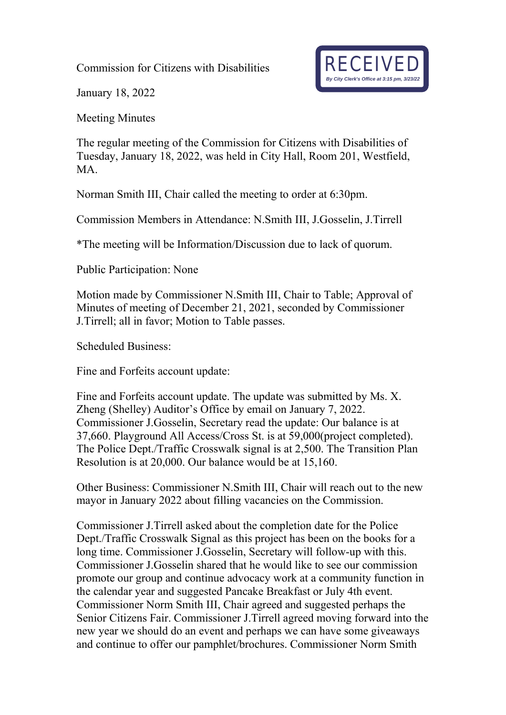Commission for Citizens with Disabilities



January 18, 2022

Meeting Minutes

The regular meeting of the Commission for Citizens with Disabilities of Tuesday, January 18, 2022, was held in City Hall, Room 201, Westfield, MA.

Norman Smith III, Chair called the meeting to order at 6:30pm.

Commission Members in Attendance: N.Smith III, J.Gosselin, J.Tirrell

\*The meeting will be Information/Discussion due to lack of quorum.

Public Participation: None

Motion made by Commissioner N.Smith III, Chair to Table; Approval of Minutes of meeting of December 21, 2021, seconded by Commissioner J.Tirrell; all in favor; Motion to Table passes.

Scheduled Business:

Fine and Forfeits account update:

Fine and Forfeits account update. The update was submitted by Ms. X. Zheng (Shelley) Auditor's Office by email on January 7, 2022. Commissioner J.Gosselin, Secretary read the update: Our balance is at 37,660. Playground All Access/Cross St. is at 59,000(project completed). The Police Dept./Traffic Crosswalk signal is at 2,500. The Transition Plan Resolution is at 20,000. Our balance would be at 15,160.

Other Business: Commissioner N.Smith III, Chair will reach out to the new mayor in January 2022 about filling vacancies on the Commission.

Commissioner J.Tirrell asked about the completion date for the Police Dept./Traffic Crosswalk Signal as this project has been on the books for a long time. Commissioner J.Gosselin, Secretary will follow-up with this. Commissioner J.Gosselin shared that he would like to see our commission promote our group and continue advocacy work at a community function in the calendar year and suggested Pancake Breakfast or July 4th event. Commissioner Norm Smith III, Chair agreed and suggested perhaps the Senior Citizens Fair. Commissioner J.Tirrell agreed moving forward into the new year we should do an event and perhaps we can have some giveaways and continue to offer our pamphlet/brochures. Commissioner Norm Smith